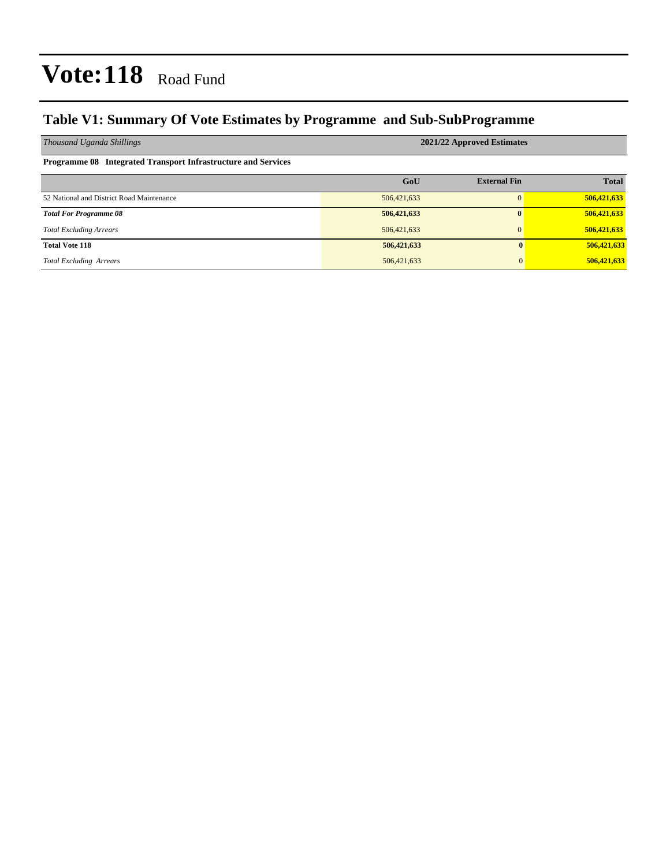### **Table V1: Summary Of Vote Estimates by Programme and Sub-SubProgramme**

| Thousand Uganda Shillings                                     | 2021/22 Approved Estimates |                     |              |  |  |  |  |
|---------------------------------------------------------------|----------------------------|---------------------|--------------|--|--|--|--|
| Programme 08 Integrated Transport Infrastructure and Services |                            |                     |              |  |  |  |  |
|                                                               | GoU                        | <b>External Fin</b> | <b>Total</b> |  |  |  |  |
| 52 National and District Road Maintenance                     | 506,421,633                |                     | 506,421,633  |  |  |  |  |
| <b>Total For Programme 08</b>                                 | 506,421,633                | $\mathbf{0}$        | 506,421,633  |  |  |  |  |
| <b>Total Excluding Arrears</b>                                | 506,421,633                | $\mathbf{0}$        | 506,421,633  |  |  |  |  |
| <b>Total Vote 118</b>                                         | 506,421,633                | $\mathbf{0}$        | 506,421,633  |  |  |  |  |
| <b>Total Excluding Arrears</b>                                | 506,421,633                | $\Omega$            | 506,421,633  |  |  |  |  |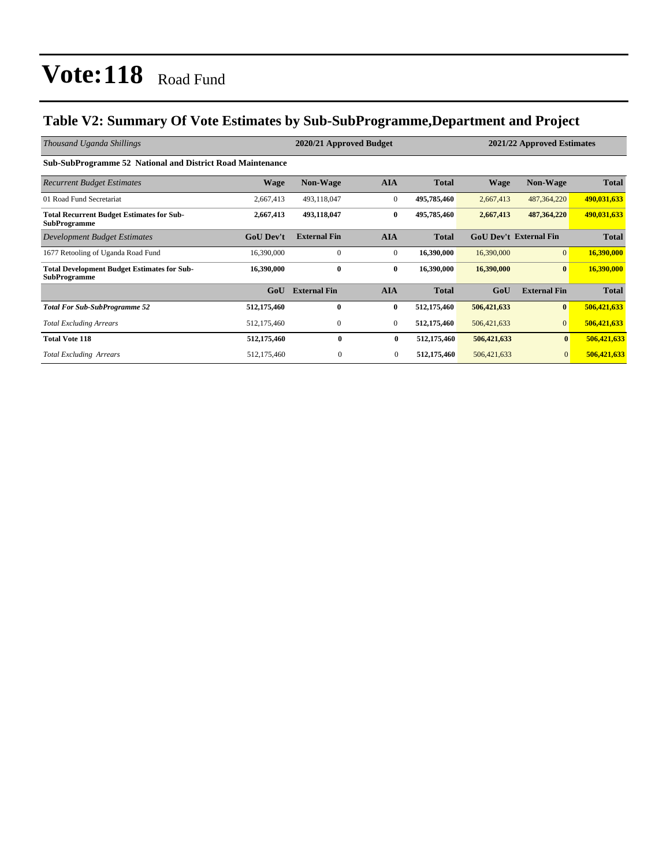### **Table V2: Summary Of Vote Estimates by Sub-SubProgramme,Department and Project**

| Thousand Uganda Shillings                                                 |                  | 2020/21 Approved Budget |              | 2021/22 Approved Estimates |                               |                     |              |
|---------------------------------------------------------------------------|------------------|-------------------------|--------------|----------------------------|-------------------------------|---------------------|--------------|
| <b>Sub-SubProgramme 52 National and District Road Maintenance</b>         |                  |                         |              |                            |                               |                     |              |
| <b>Recurrent Budget Estimates</b>                                         | Wage             | <b>Non-Wage</b>         | <b>AIA</b>   | <b>Total</b>               | <b>Wage</b>                   | <b>Non-Wage</b>     | <b>Total</b> |
| 01 Road Fund Secretariat                                                  | 2,667,413        | 493,118,047             | $\mathbf{0}$ | 495,785,460                | 2,667,413                     | 487, 364, 220       | 490,031,633  |
| <b>Total Recurrent Budget Estimates for Sub-</b><br><b>SubProgramme</b>   | 2,667,413        | 493,118,047             | $\bf{0}$     | 495,785,460                | 2,667,413                     | 487, 364, 220       | 490,031,633  |
| Development Budget Estimates                                              | <b>GoU</b> Dev't | <b>External Fin</b>     | <b>AIA</b>   | <b>Total</b>               | <b>GoU Dev't External Fin</b> |                     | <b>Total</b> |
| 1677 Retooling of Uganda Road Fund                                        | 16,390,000       | $\Omega$                | $\mathbf{0}$ | 16,390,000                 | 16,390,000                    | $\overline{0}$      | 16,390,000   |
| <b>Total Development Budget Estimates for Sub-</b><br><b>SubProgramme</b> | 16,390,000       | $\bf{0}$                | $\bf{0}$     | 16,390,000                 | 16,390,000                    | $\bf{0}$            | 16,390,000   |
|                                                                           | GoU              | <b>External Fin</b>     | <b>AIA</b>   | <b>Total</b>               | GoU                           | <b>External Fin</b> | <b>Total</b> |
| <b>Total For Sub-SubProgramme 52</b>                                      | 512,175,460      | $\mathbf{0}$            | $\bf{0}$     | 512,175,460                | 506,421,633                   | $\bf{0}$            | 506,421,633  |
| <b>Total Excluding Arrears</b>                                            | 512,175,460      | $\mathbf{0}$            | $\mathbf{0}$ | 512,175,460                | 506, 421, 633                 | $\overline{0}$      | 506,421,633  |
| <b>Total Vote 118</b>                                                     | 512,175,460      | $\mathbf{0}$            | $\bf{0}$     | 512,175,460                | 506,421,633                   | $\mathbf{0}$        | 506,421,633  |
| <b>Total Excluding Arrears</b>                                            | 512,175,460      | $\boldsymbol{0}$        | $\mathbf{0}$ | 512,175,460                | 506,421,633                   | $\mathbf{0}$        | 506,421,633  |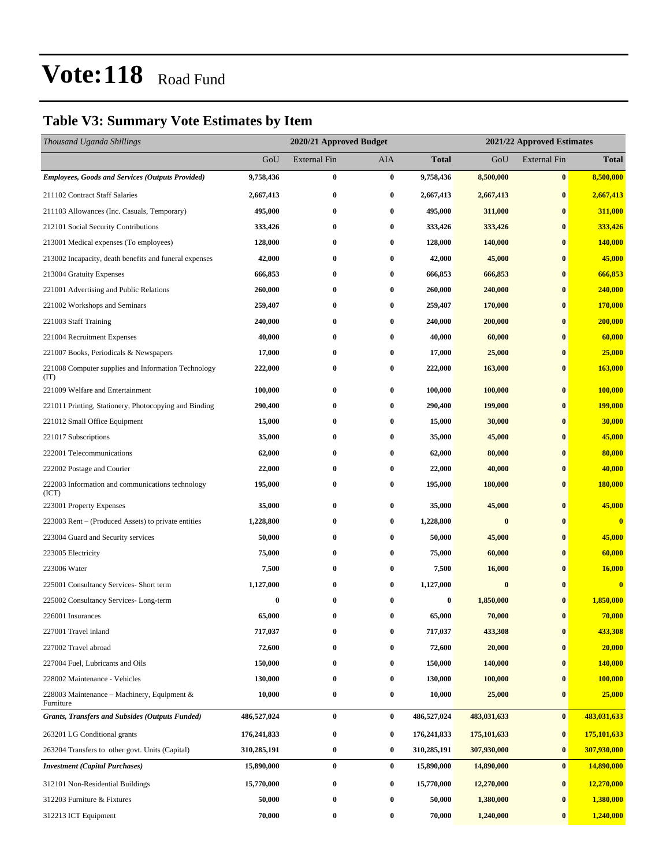### **Table V3: Summary Vote Estimates by Item**

| Thousand Uganda Shillings                                   |               | 2020/21 Approved Budget<br>2021/22 Approved Estimates |                  |              |               |                     |                |
|-------------------------------------------------------------|---------------|-------------------------------------------------------|------------------|--------------|---------------|---------------------|----------------|
|                                                             | GoU           | <b>External Fin</b>                                   | <b>AIA</b>       | <b>Total</b> | GoU           | <b>External Fin</b> | <b>Total</b>   |
| <b>Employees, Goods and Services (Outputs Provided)</b>     | 9,758,436     | $\bf{0}$                                              | $\bf{0}$         | 9,758,436    | 8,500,000     | $\bf{0}$            | 8,500,000      |
| 211102 Contract Staff Salaries                              | 2,667,413     | $\bf{0}$                                              | $\bf{0}$         | 2,667,413    | 2,667,413     | $\bf{0}$            | 2,667,413      |
| 211103 Allowances (Inc. Casuals, Temporary)                 | 495,000       | $\bf{0}$                                              | $\bf{0}$         | 495,000      | 311,000       | $\bf{0}$            | 311,000        |
| 212101 Social Security Contributions                        | 333,426       | $\bf{0}$                                              | $\bf{0}$         | 333,426      | 333,426       | $\bf{0}$            | 333,426        |
| 213001 Medical expenses (To employees)                      | 128,000       | 0                                                     | $\bf{0}$         | 128,000      | 140,000       | $\bf{0}$            | 140,000        |
| 213002 Incapacity, death benefits and funeral expenses      | 42,000        | $\bf{0}$                                              | $\bf{0}$         | 42,000       | 45,000        | $\bf{0}$            | 45,000         |
| 213004 Gratuity Expenses                                    | 666,853       | 0                                                     | 0                | 666,853      | 666,853       | $\bf{0}$            | 666,853        |
| 221001 Advertising and Public Relations                     | 260,000       | 0                                                     | $\bf{0}$         | 260,000      | 240,000       | $\bf{0}$            | 240,000        |
| 221002 Workshops and Seminars                               | 259,407       | $\bf{0}$                                              | $\bf{0}$         | 259,407      | 170,000       | $\bf{0}$            | 170,000        |
| 221003 Staff Training                                       | 240,000       | $\bf{0}$                                              | $\bf{0}$         | 240,000      | 200,000       | $\bf{0}$            | 200,000        |
| 221004 Recruitment Expenses                                 | 40,000        | $\bf{0}$                                              | $\bf{0}$         | 40,000       | 60,000        | $\bf{0}$            | 60,000         |
| 221007 Books, Periodicals & Newspapers                      | 17,000        | 0                                                     | 0                | 17,000       | 25,000        | $\bf{0}$            | 25,000         |
| 221008 Computer supplies and Information Technology<br>(TT) | 222,000       | $\bf{0}$                                              | $\bf{0}$         | 222,000      | 163,000       | $\bf{0}$            | <b>163,000</b> |
| 221009 Welfare and Entertainment                            | 100,000       | 0                                                     | $\bf{0}$         | 100,000      | 100,000       | $\bf{0}$            | 100,000        |
| 221011 Printing, Stationery, Photocopying and Binding       | 290,400       | $\bf{0}$                                              | 0                | 290,400      | 199,000       | $\bf{0}$            | <b>199,000</b> |
| 221012 Small Office Equipment                               | 15,000        | 0                                                     | $\bf{0}$         | 15,000       | 30,000        | $\bf{0}$            | 30,000         |
| 221017 Subscriptions                                        | 35,000        | $\bf{0}$                                              | $\bf{0}$         | 35,000       | 45,000        | $\bf{0}$            | 45,000         |
| 222001 Telecommunications                                   | 62,000        | $\bf{0}$                                              | 0                | 62,000       | 80,000        | $\bf{0}$            | 80,000         |
| 222002 Postage and Courier                                  | 22,000        | 0                                                     | $\bf{0}$         | 22,000       | 40,000        | $\bf{0}$            | 40,000         |
| 222003 Information and communications technology<br>(ICT)   | 195,000       | $\bf{0}$                                              | 0                | 195,000      | 180,000       | $\bf{0}$            | 180,000        |
| 223001 Property Expenses                                    | 35,000        | $\bf{0}$                                              | $\bf{0}$         | 35,000       | 45,000        | $\bf{0}$            | 45,000         |
| 223003 Rent – (Produced Assets) to private entities         | 1,228,800     | 0                                                     | $\bf{0}$         | 1,228,800    | $\bf{0}$      | $\bf{0}$            | $\mathbf{0}$   |
| 223004 Guard and Security services                          | 50,000        | $\bf{0}$                                              | $\bf{0}$         | 50,000       | 45,000        | $\bf{0}$            | 45,000         |
| 223005 Electricity                                          | 75,000        | 0                                                     | $\bf{0}$         | 75,000       | 60,000        | $\bf{0}$            | 60,000         |
| 223006 Water                                                | 7,500         | 0                                                     | 0                | 7,500        | 16,000        | $\bf{0}$            | 16,000         |
| 225001 Consultancy Services- Short term                     | 1,127,000     | $\bf{0}$                                              | $\bf{0}$         | 1,127,000    | $\bf{0}$      | $\bf{0}$            | $\bf{0}$       |
| 225002 Consultancy Services-Long-term                       | 0             | 0                                                     | 0                | $\bf{0}$     | 1,850,000     | $\mathbf{0}$        | 1,850,000      |
| 226001 Insurances                                           | 65,000        | $\bf{0}$                                              | $\bf{0}$         | 65,000       | 70,000        | $\bf{0}$            | 70,000         |
| 227001 Travel inland                                        | 717,037       | 0                                                     | $\bf{0}$         | 717,037      | 433,308       | $\bf{0}$            | 433,308        |
| 227002 Travel abroad                                        | 72,600        | 0                                                     | 0                | 72,600       | 20,000        | $\bf{0}$            | 20,000         |
| 227004 Fuel, Lubricants and Oils                            | 150,000       | $\bf{0}$                                              | $\boldsymbol{0}$ | 150,000      | 140,000       | $\bf{0}$            | 140,000        |
| 228002 Maintenance - Vehicles                               | 130,000       | $\bf{0}$                                              | $\bf{0}$         | 130,000      | 100,000       | $\bf{0}$            | 100,000        |
| 228003 Maintenance – Machinery, Equipment $\&$<br>Furniture | 10,000        | $\pmb{0}$                                             | $\bf{0}$         | 10,000       | 25,000        | $\bf{0}$            | 25,000         |
| <b>Grants, Transfers and Subsides (Outputs Funded)</b>      | 486,527,024   | $\bf{0}$                                              | $\bf{0}$         | 486,527,024  | 483,031,633   | $\bf{0}$            | 483,031,633    |
| 263201 LG Conditional grants                                | 176, 241, 833 | $\bf{0}$                                              | $\bf{0}$         | 176,241,833  | 175, 101, 633 | $\bf{0}$            | 175,101,633    |
| 263204 Transfers to other govt. Units (Capital)             | 310,285,191   | $\bf{0}$                                              | $\bf{0}$         | 310,285,191  | 307,930,000   | $\bf{0}$            | 307,930,000    |
| <b>Investment</b> (Capital Purchases)                       | 15,890,000    | $\pmb{0}$                                             | $\bf{0}$         | 15,890,000   | 14,890,000    | $\bf{0}$            | 14,890,000     |
| 312101 Non-Residential Buildings                            | 15,770,000    | $\bf{0}$                                              | $\bf{0}$         | 15,770,000   | 12,270,000    | $\bf{0}$            | 12,270,000     |
| 312203 Furniture & Fixtures                                 | 50,000        | $\bf{0}$                                              | $\bf{0}$         | 50,000       | 1,380,000     | $\bf{0}$            | 1,380,000      |
| 312213 ICT Equipment                                        | 70,000        | $\bf{0}$                                              | $\bf{0}$         | 70,000       | 1,240,000     | $\bf{0}$            | 1,240,000      |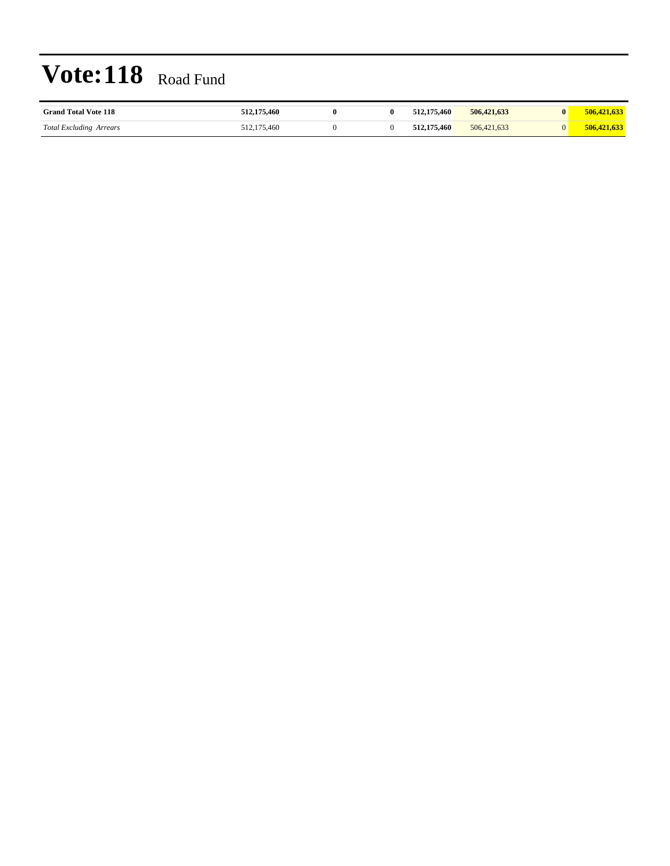| <b>Grand Total Vote 118</b>    | 512,175,460 |  | 512,175,460 | 506,421,633 | $\mathbf{0}$ |             |
|--------------------------------|-------------|--|-------------|-------------|--------------|-------------|
| <b>Total Excluding Arrears</b> | 512,175,460 |  | 512,175,460 | 506,421,633 | U            | 506,421,633 |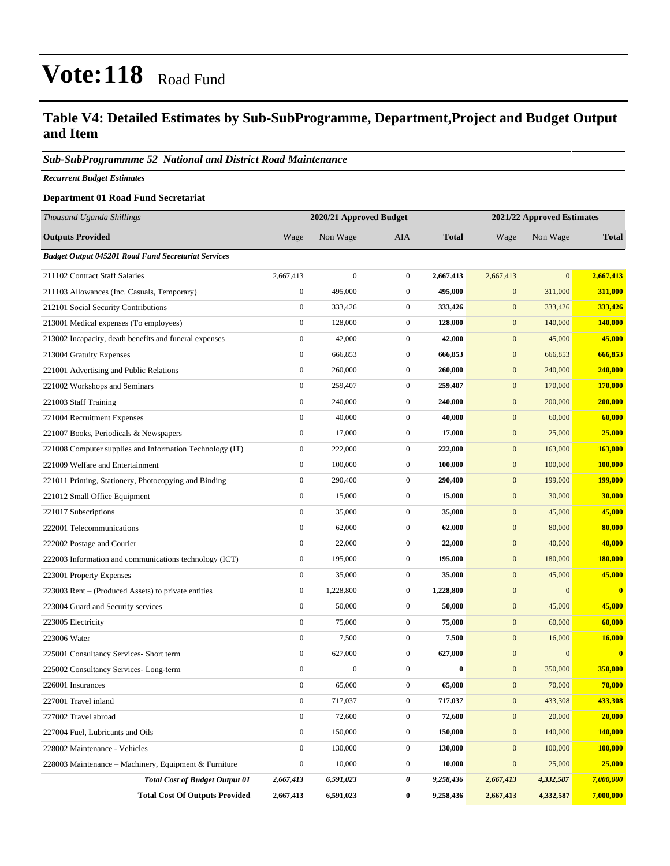#### **Table V4: Detailed Estimates by Sub-SubProgramme, Department,Project and Budget Output and Item**

#### *Sub-SubProgrammme 52 National and District Road Maintenance*

*Recurrent Budget Estimates*

#### **Department 01 Road Fund Secretariat**

| Thousand Uganda Shillings                                  |                  | 2020/21 Approved Budget |                  | 2021/22 Approved Estimates |                  |                  |              |
|------------------------------------------------------------|------------------|-------------------------|------------------|----------------------------|------------------|------------------|--------------|
| <b>Outputs Provided</b>                                    | Wage             | Non Wage                | AIA              | <b>Total</b>               | Wage             | Non Wage         | <b>Total</b> |
| <b>Budget Output 045201 Road Fund Secretariat Services</b> |                  |                         |                  |                            |                  |                  |              |
| 211102 Contract Staff Salaries                             | 2,667,413        | $\boldsymbol{0}$        | $\overline{0}$   | 2,667,413                  | 2,667,413        | $\mathbf{0}$     | 2,667,413    |
| 211103 Allowances (Inc. Casuals, Temporary)                | $\boldsymbol{0}$ | 495,000                 | $\mathbf{0}$     | 495,000                    | $\mathbf{0}$     | 311,000          | 311,000      |
| 212101 Social Security Contributions                       | $\boldsymbol{0}$ | 333,426                 | $\mathbf{0}$     | 333,426                    | $\mathbf{0}$     | 333,426          | 333,426      |
| 213001 Medical expenses (To employees)                     | $\boldsymbol{0}$ | 128,000                 | $\mathbf{0}$     | 128,000                    | $\mathbf{0}$     | 140,000          | 140,000      |
| 213002 Incapacity, death benefits and funeral expenses     | $\boldsymbol{0}$ | 42,000                  | $\boldsymbol{0}$ | 42,000                     | $\mathbf{0}$     | 45,000           | 45,000       |
| 213004 Gratuity Expenses                                   | $\boldsymbol{0}$ | 666,853                 | $\overline{0}$   | 666,853                    | $\mathbf{0}$     | 666,853          | 666,853      |
| 221001 Advertising and Public Relations                    | $\boldsymbol{0}$ | 260,000                 | $\overline{0}$   | 260,000                    | $\mathbf{0}$     | 240,000          | 240,000      |
| 221002 Workshops and Seminars                              | $\boldsymbol{0}$ | 259,407                 | $\mathbf{0}$     | 259,407                    | $\mathbf{0}$     | 170,000          | 170,000      |
| 221003 Staff Training                                      | $\boldsymbol{0}$ | 240,000                 | $\mathbf{0}$     | 240,000                    | $\mathbf{0}$     | 200,000          | 200,000      |
| 221004 Recruitment Expenses                                | $\boldsymbol{0}$ | 40,000                  | $\boldsymbol{0}$ | 40,000                     | $\mathbf{0}$     | 60,000           | 60,000       |
| 221007 Books, Periodicals & Newspapers                     | $\boldsymbol{0}$ | 17,000                  | $\overline{0}$   | 17,000                     | $\mathbf{0}$     | 25,000           | 25,000       |
| 221008 Computer supplies and Information Technology (IT)   | $\boldsymbol{0}$ | 222,000                 | $\overline{0}$   | 222,000                    | $\mathbf{0}$     | 163,000          | 163,000      |
| 221009 Welfare and Entertainment                           | $\boldsymbol{0}$ | 100,000                 | $\mathbf{0}$     | 100,000                    | $\mathbf{0}$     | 100,000          | 100,000      |
| 221011 Printing, Stationery, Photocopying and Binding      | $\boldsymbol{0}$ | 290,400                 | $\mathbf{0}$     | 290,400                    | $\mathbf{0}$     | 199,000          | 199,000      |
| 221012 Small Office Equipment                              | $\boldsymbol{0}$ | 15,000                  | $\mathbf{0}$     | 15,000                     | $\mathbf{0}$     | 30,000           | 30,000       |
| 221017 Subscriptions                                       | $\boldsymbol{0}$ | 35,000                  | $\overline{0}$   | 35,000                     | $\mathbf{0}$     | 45,000           | 45,000       |
| 222001 Telecommunications                                  | $\boldsymbol{0}$ | 62,000                  | $\mathbf{0}$     | 62,000                     | $\mathbf{0}$     | 80,000           | 80,000       |
| 222002 Postage and Courier                                 | $\boldsymbol{0}$ | 22,000                  | $\mathbf{0}$     | 22,000                     | $\mathbf{0}$     | 40,000           | 40,000       |
| 222003 Information and communications technology (ICT)     | $\boldsymbol{0}$ | 195,000                 | $\mathbf{0}$     | 195,000                    | $\mathbf{0}$     | 180,000          | 180,000      |
| 223001 Property Expenses                                   | $\boldsymbol{0}$ | 35,000                  | $\mathbf{0}$     | 35,000                     | $\mathbf{0}$     | 45,000           | 45,000       |
| 223003 Rent – (Produced Assets) to private entities        | $\boldsymbol{0}$ | 1,228,800               | $\mathbf{0}$     | 1,228,800                  | $\mathbf{0}$     | $\boldsymbol{0}$ | $\bf{0}$     |
| 223004 Guard and Security services                         | $\boldsymbol{0}$ | 50,000                  | $\mathbf{0}$     | 50,000                     | $\mathbf{0}$     | 45,000           | 45,000       |
| 223005 Electricity                                         | $\boldsymbol{0}$ | 75,000                  | $\mathbf{0}$     | 75,000                     | $\mathbf{0}$     | 60,000           | 60,000       |
| 223006 Water                                               | $\boldsymbol{0}$ | 7,500                   | $\boldsymbol{0}$ | 7,500                      | $\mathbf{0}$     | 16,000           | 16,000       |
| 225001 Consultancy Services- Short term                    | $\boldsymbol{0}$ | 627,000                 | $\boldsymbol{0}$ | 627,000                    | $\mathbf{0}$     | $\boldsymbol{0}$ | $\bf{0}$     |
| 225002 Consultancy Services-Long-term                      | $\boldsymbol{0}$ | $\boldsymbol{0}$        | $\overline{0}$   | $\bf{0}$                   | $\mathbf{0}$     | 350,000          | 350,000      |
| 226001 Insurances                                          | $\boldsymbol{0}$ | 65,000                  | $\mathbf{0}$     | 65,000                     | $\mathbf{0}$     | 70,000           | 70,000       |
| 227001 Travel inland                                       | $\boldsymbol{0}$ | 717,037                 | $\boldsymbol{0}$ | 717,037                    | $\boldsymbol{0}$ | 433,308          | 433,308      |
| 227002 Travel abroad                                       | $\boldsymbol{0}$ | 72,600                  | $\boldsymbol{0}$ | 72,600                     | $\mathbf{0}$     | 20,000           | 20,000       |
| 227004 Fuel, Lubricants and Oils                           | $\boldsymbol{0}$ | 150,000                 | $\boldsymbol{0}$ | 150,000                    | $\mathbf{0}$     | 140,000          | 140,000      |
| 228002 Maintenance - Vehicles                              | $\boldsymbol{0}$ | 130,000                 | $\boldsymbol{0}$ | 130,000                    | $\mathbf{0}$     | 100,000          | 100,000      |
| 228003 Maintenance – Machinery, Equipment & Furniture      | $\boldsymbol{0}$ | 10,000                  | $\boldsymbol{0}$ | 10,000                     | $\mathbf{0}$     | 25,000           | 25,000       |
| <b>Total Cost of Budget Output 01</b>                      | 2,667,413        | 6,591,023               | 0                | 9,258,436                  | 2,667,413        | 4,332,587        | 7,000,000    |
| <b>Total Cost Of Outputs Provided</b>                      | 2,667,413        | 6,591,023               | $\bf{0}$         | 9,258,436                  | 2,667,413        | 4,332,587        | 7,000,000    |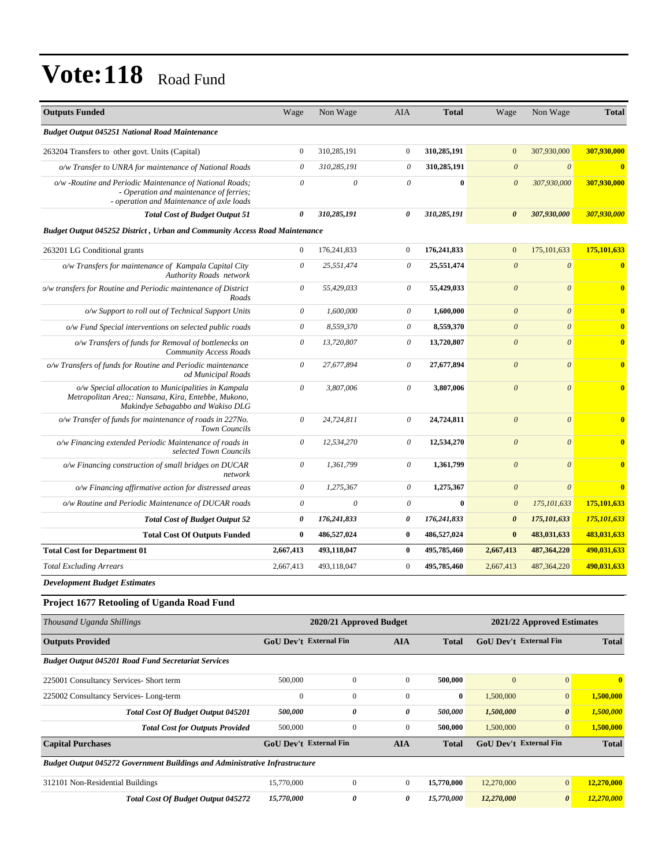| <b>Outputs Funded</b>                                                                                                                            | Wage                      | Non Wage              | <b>AIA</b>            | <b>Total</b> | Wage                  | Non Wage                | <b>Total</b>            |
|--------------------------------------------------------------------------------------------------------------------------------------------------|---------------------------|-----------------------|-----------------------|--------------|-----------------------|-------------------------|-------------------------|
| <b>Budget Output 045251 National Road Maintenance</b>                                                                                            |                           |                       |                       |              |                       |                         |                         |
| 263204 Transfers to other govt. Units (Capital)                                                                                                  | $\mathbf{0}$              | 310,285,191           | $\mathbf{0}$          | 310,285,191  | $\mathbf{0}$          | 307,930,000             | 307,930,000             |
| o/w Transfer to UNRA for maintenance of National Roads                                                                                           | $\theta$                  | 310,285,191           | $\theta$              | 310,285,191  | $\boldsymbol{\theta}$ | $\boldsymbol{\theta}$   | $\mathbf{0}$            |
| o/w -Routine and Periodic Maintenance of National Roads;<br>- Operation and maintenance of ferries;<br>- operation and Maintenance of axle loads | $\boldsymbol{\theta}$     | $\boldsymbol{\theta}$ | $\theta$              | $\bf{0}$     | $\boldsymbol{\theta}$ | 307,930,000             | 307,930,000             |
| <b>Total Cost of Budget Output 51</b>                                                                                                            | $\boldsymbol{\theta}$     | 310,285,191           | 0                     | 310,285,191  | $\boldsymbol{\theta}$ | 307,930,000             | 307,930,000             |
| <b>Budget Output 045252 District, Urban and Community Access Road Maintenance</b>                                                                |                           |                       |                       |              |                       |                         |                         |
| 263201 LG Conditional grants                                                                                                                     | $\mathbf{0}$              | 176,241,833           | $\mathbf{0}$          | 176,241,833  | $\boldsymbol{0}$      | 175, 101, 633           | 175,101,633             |
| o/w Transfers for maintenance of Kampala Capital City<br><b>Authority Roads</b> network                                                          | $\boldsymbol{\mathit{0}}$ | 25,551,474            | $\theta$              | 25,551,474   | $\boldsymbol{\theta}$ | $\theta$                | $\bf{0}$                |
| % o/w transfers for Routine and Periodic maintenance of District<br>Roads                                                                        | $\theta$                  | 55,429,033            | $\theta$              | 55,429,033   | $\theta$              | $\theta$                | $\overline{\mathbf{0}}$ |
| o/w Support to roll out of Technical Support Units                                                                                               | $\theta$                  | 1,600,000             | 0                     | 1,600,000    | $\boldsymbol{\theta}$ | $\theta$                | $\overline{\mathbf{0}}$ |
| o/w Fund Special interventions on selected public roads                                                                                          | $\boldsymbol{\theta}$     | 8,559,370             | $\theta$              | 8,559,370    | $\theta$              | $\theta$                | $\mathbf{0}$            |
| o/w Transfers of funds for Removal of bottlenecks on<br>Community Access Roads                                                                   | $\theta$                  | 13,720,807            | $\theta$              | 13,720,807   | $\theta$              | $\theta$                | $\mathbf{0}$            |
| o/w Transfers of funds for Routine and Periodic maintenance<br>od Municipal Roads                                                                | $\boldsymbol{\theta}$     | 27,677,894            | $\boldsymbol{\theta}$ | 27,677,894   | $\boldsymbol{\theta}$ | $\theta$                | $\overline{\mathbf{0}}$ |
| o/w Special allocation to Municipalities in Kampala<br>Metropolitan Area;: Nansana, Kira, Entebbe, Mukono,<br>Makindye Sebagabbo and Wakiso DLG  | 0                         | 3,807,006             | $\theta$              | 3,807,006    | $\boldsymbol{\theta}$ | $\overline{\mathbf{0}}$ | $\overline{\mathbf{0}}$ |
| o/w Transfer of funds for maintenance of roads in 227No.<br><b>Town Councils</b>                                                                 | $\boldsymbol{\mathit{0}}$ | 24,724,811            | $\theta$              | 24,724,811   | $\boldsymbol{\theta}$ | $\theta$                | $\bf{0}$                |
| o/w Financing extended Periodic Maintenance of roads in<br>selected Town Councils                                                                | $\boldsymbol{\theta}$     | 12,534,270            | $\boldsymbol{\theta}$ | 12,534,270   | $\theta$              | $\theta$                | $\mathbf{0}$            |
| o/w Financing construction of small bridges on DUCAR<br>network                                                                                  | 0                         | 1,361,799             | $\theta$              | 1,361,799    | $\boldsymbol{\theta}$ | $\theta$                | $\mathbf{0}$            |
| o/w Financing affirmative action for distressed areas                                                                                            | $\boldsymbol{\theta}$     | 1,275,367             | $\boldsymbol{\theta}$ | 1,275,367    | $\theta$              | $\theta$                | $\bf{0}$                |
| o/w Routine and Periodic Maintenance of DUCAR roads                                                                                              | 0                         | $\theta$              | $\boldsymbol{\theta}$ | $\bf{0}$     | $\boldsymbol{\theta}$ | 175, 101, 633           | 175,101,633             |
| <b>Total Cost of Budget Output 52</b>                                                                                                            | $\boldsymbol{\theta}$     | 176,241,833           | 0                     | 176,241,833  | $\boldsymbol{\theta}$ | 175,101,633             | 175,101,633             |
| <b>Total Cost Of Outputs Funded</b>                                                                                                              | $\bf{0}$                  | 486,527,024           | $\bf{0}$              | 486,527,024  | $\bf{0}$              | 483,031,633             | 483,031,633             |
| <b>Total Cost for Department 01</b>                                                                                                              | 2,667,413                 | 493,118,047           | $\bf{0}$              | 495,785,460  | 2,667,413             | 487, 364, 220           | 490,031,633             |
| <b>Total Excluding Arrears</b>                                                                                                                   | 2,667,413                 | 493,118,047           | $\mathbf{0}$          | 495,785,460  | 2,667,413             | 487, 364, 220           | 490,031,633             |

*Development Budget Estimates*

### **Project 1677 Retooling of Uganda Road Fund**

| Thousand Uganda Shillings                                                          |                               | 2020/21 Approved Budget |                | 2021/22 Approved Estimates |                               |                       |              |
|------------------------------------------------------------------------------------|-------------------------------|-------------------------|----------------|----------------------------|-------------------------------|-----------------------|--------------|
| <b>Outputs Provided</b>                                                            | <b>GoU Dev't External Fin</b> |                         | <b>AIA</b>     | <b>Total</b>               | <b>GoU Dev't External Fin</b> |                       | <b>Total</b> |
| <b>Budget Output 045201 Road Fund Secretariat Services</b>                         |                               |                         |                |                            |                               |                       |              |
| 225001 Consultancy Services- Short term                                            | 500,000                       | $\overline{0}$          | $\mathbf{0}$   | 500,000                    | $\mathbf{0}$                  | $\overline{0}$        | $\mathbf{0}$ |
| 225002 Consultancy Services-Long-term                                              | $\theta$                      | $\overline{0}$          | $\Omega$       | $\bf{0}$                   | 1,500,000                     | $\overline{0}$        | 1,500,000    |
| Total Cost Of Budget Output 045201                                                 | 500,000                       | 0                       | 0              | 500,000                    | 1,500,000                     | $\boldsymbol{\theta}$ | 1,500,000    |
| <b>Total Cost for Outputs Provided</b>                                             | 500,000                       | $\overline{0}$          | $\overline{0}$ | 500,000                    | 1,500,000                     | $\overline{0}$        | 1,500,000    |
| <b>Capital Purchases</b>                                                           | <b>GoU Dev't External Fin</b> |                         | <b>AIA</b>     | <b>Total</b>               | <b>GoU</b> Dev't External Fin |                       | <b>Total</b> |
| <b>Budget Output 045272 Government Buildings and Administrative Infrastructure</b> |                               |                         |                |                            |                               |                       |              |
| 312101 Non-Residential Buildings                                                   | 15,770,000                    | $\mathbf{0}$            | $\overline{0}$ | 15,770,000                 | 12,270,000                    | $\overline{0}$        | 12,270,000   |
| <b>Total Cost Of Budget Output 045272</b>                                          | 15,770,000                    | 0                       | 0              | 15,770,000                 | 12,270,000                    | $\boldsymbol{\theta}$ | 12,270,000   |